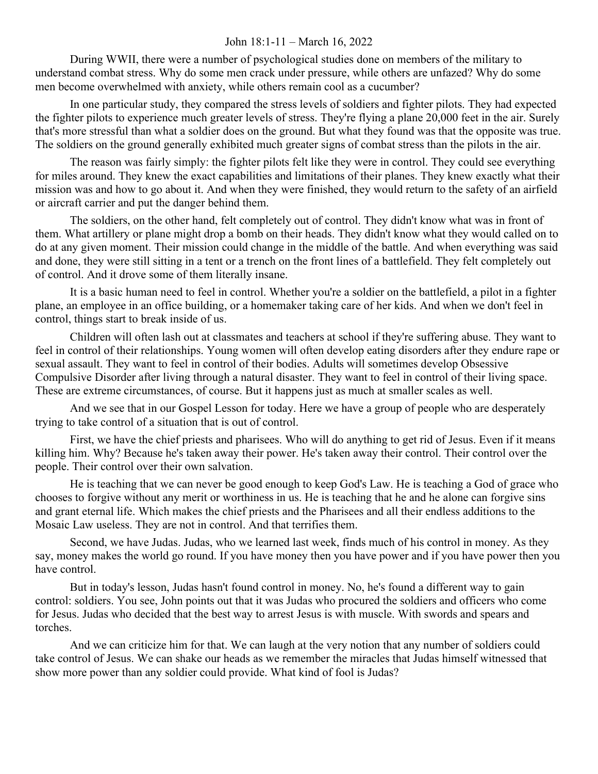## John 18:1-11 – March 16, 2022

During WWII, there were a number of psychological studies done on members of the military to understand combat stress. Why do some men crack under pressure, while others are unfazed? Why do some men become overwhelmed with anxiety, while others remain cool as a cucumber?

In one particular study, they compared the stress levels of soldiers and fighter pilots. They had expected the fighter pilots to experience much greater levels of stress. They're flying a plane 20,000 feet in the air. Surely that's more stressful than what a soldier does on the ground. But what they found was that the opposite was true. The soldiers on the ground generally exhibited much greater signs of combat stress than the pilots in the air.

The reason was fairly simply: the fighter pilots felt like they were in control. They could see everything for miles around. They knew the exact capabilities and limitations of their planes. They knew exactly what their mission was and how to go about it. And when they were finished, they would return to the safety of an airfield or aircraft carrier and put the danger behind them.

The soldiers, on the other hand, felt completely out of control. They didn't know what was in front of them. What artillery or plane might drop a bomb on their heads. They didn't know what they would called on to do at any given moment. Their mission could change in the middle of the battle. And when everything was said and done, they were still sitting in a tent or a trench on the front lines of a battlefield. They felt completely out of control. And it drove some of them literally insane.

It is a basic human need to feel in control. Whether you're a soldier on the battlefield, a pilot in a fighter plane, an employee in an office building, or a homemaker taking care of her kids. And when we don't feel in control, things start to break inside of us.

Children will often lash out at classmates and teachers at school if they're suffering abuse. They want to feel in control of their relationships. Young women will often develop eating disorders after they endure rape or sexual assault. They want to feel in control of their bodies. Adults will sometimes develop Obsessive Compulsive Disorder after living through a natural disaster. They want to feel in control of their living space. These are extreme circumstances, of course. But it happens just as much at smaller scales as well.

And we see that in our Gospel Lesson for today. Here we have a group of people who are desperately trying to take control of a situation that is out of control.

First, we have the chief priests and pharisees. Who will do anything to get rid of Jesus. Even if it means killing him. Why? Because he's taken away their power. He's taken away their control. Their control over the people. Their control over their own salvation.

He is teaching that we can never be good enough to keep God's Law. He is teaching a God of grace who chooses to forgive without any merit or worthiness in us. He is teaching that he and he alone can forgive sins and grant eternal life. Which makes the chief priests and the Pharisees and all their endless additions to the Mosaic Law useless. They are not in control. And that terrifies them.

Second, we have Judas. Judas, who we learned last week, finds much of his control in money. As they say, money makes the world go round. If you have money then you have power and if you have power then you have control.

But in today's lesson, Judas hasn't found control in money. No, he's found a different way to gain control: soldiers. You see, John points out that it was Judas who procured the soldiers and officers who come for Jesus. Judas who decided that the best way to arrest Jesus is with muscle. With swords and spears and torches.

And we can criticize him for that. We can laugh at the very notion that any number of soldiers could take control of Jesus. We can shake our heads as we remember the miracles that Judas himself witnessed that show more power than any soldier could provide. What kind of fool is Judas?